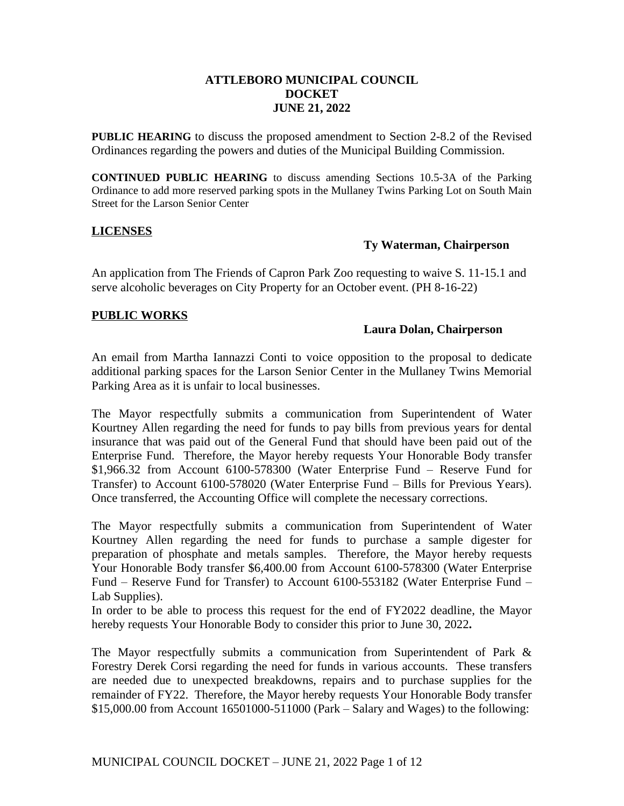## **ATTLEBORO MUNICIPAL COUNCIL DOCKET JUNE 21, 2022**

**PUBLIC HEARING** to discuss the proposed amendment to Section 2-8.2 of the Revised Ordinances regarding the powers and duties of the Municipal Building Commission.

**CONTINUED PUBLIC HEARING** to discuss amending Sections 10.5-3A of the Parking Ordinance to add more reserved parking spots in the Mullaney Twins Parking Lot on South Main Street for the Larson Senior Center

## **LICENSES**

## **Ty Waterman, Chairperson**

An application from The Friends of Capron Park Zoo requesting to waive S. 11-15.1 and serve alcoholic beverages on City Property for an October event. (PH 8-16-22)

## **PUBLIC WORKS**

## **Laura Dolan, Chairperson**

An email from Martha Iannazzi Conti to voice opposition to the proposal to dedicate additional parking spaces for the Larson Senior Center in the Mullaney Twins Memorial Parking Area as it is unfair to local businesses.

The Mayor respectfully submits a communication from Superintendent of Water Kourtney Allen regarding the need for funds to pay bills from previous years for dental insurance that was paid out of the General Fund that should have been paid out of the Enterprise Fund. Therefore, the Mayor hereby requests Your Honorable Body transfer \$1,966.32 from Account 6100-578300 (Water Enterprise Fund – Reserve Fund for Transfer) to Account 6100-578020 (Water Enterprise Fund – Bills for Previous Years). Once transferred, the Accounting Office will complete the necessary corrections.

The Mayor respectfully submits a communication from Superintendent of Water Kourtney Allen regarding the need for funds to purchase a sample digester for preparation of phosphate and metals samples. Therefore, the Mayor hereby requests Your Honorable Body transfer \$6,400.00 from Account 6100-578300 (Water Enterprise Fund – Reserve Fund for Transfer) to Account 6100-553182 (Water Enterprise Fund – Lab Supplies).

In order to be able to process this request for the end of FY2022 deadline, the Mayor hereby requests Your Honorable Body to consider this prior to June 30, 2022**.**

The Mayor respectfully submits a communication from Superintendent of Park & Forestry Derek Corsi regarding the need for funds in various accounts. These transfers are needed due to unexpected breakdowns, repairs and to purchase supplies for the remainder of FY22. Therefore, the Mayor hereby requests Your Honorable Body transfer \$15,000.00 from Account 16501000-511000 (Park – Salary and Wages) to the following: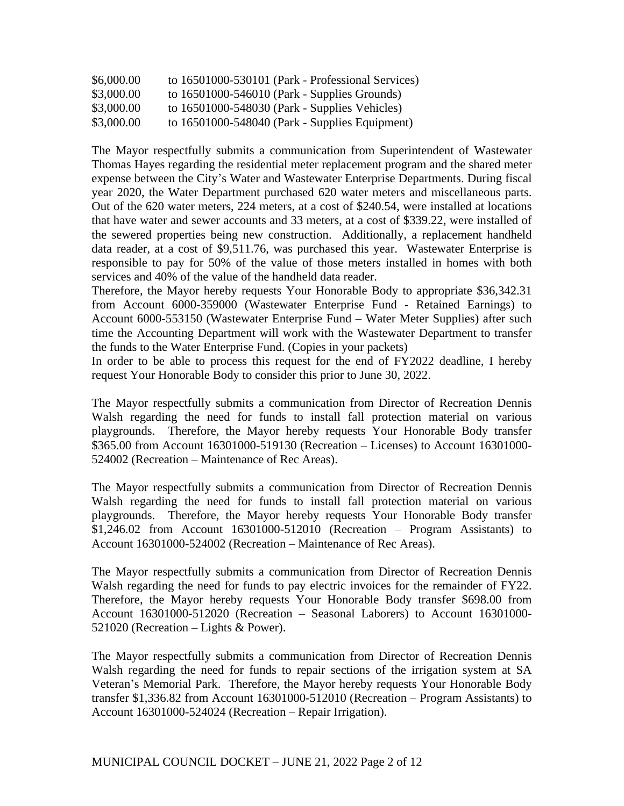| \$6,000.00 | to 16501000-530101 (Park - Professional Services)  |
|------------|----------------------------------------------------|
| \$3,000.00 | to 16501000-546010 (Park - Supplies Grounds)       |
| \$3,000.00 | to $16501000 - 548030$ (Park - Supplies Vehicles)  |
| \$3,000.00 | to $16501000 - 548040$ (Park - Supplies Equipment) |

The Mayor respectfully submits a communication from Superintendent of Wastewater Thomas Hayes regarding the residential meter replacement program and the shared meter expense between the City's Water and Wastewater Enterprise Departments. During fiscal year 2020, the Water Department purchased 620 water meters and miscellaneous parts. Out of the 620 water meters, 224 meters, at a cost of \$240.54, were installed at locations that have water and sewer accounts and 33 meters, at a cost of \$339.22, were installed of the sewered properties being new construction. Additionally, a replacement handheld data reader, at a cost of \$9,511.76, was purchased this year. Wastewater Enterprise is responsible to pay for 50% of the value of those meters installed in homes with both services and 40% of the value of the handheld data reader.

Therefore, the Mayor hereby requests Your Honorable Body to appropriate \$36,342.31 from Account 6000-359000 (Wastewater Enterprise Fund - Retained Earnings) to Account 6000-553150 (Wastewater Enterprise Fund – Water Meter Supplies) after such time the Accounting Department will work with the Wastewater Department to transfer the funds to the Water Enterprise Fund. (Copies in your packets)

In order to be able to process this request for the end of FY2022 deadline, I hereby request Your Honorable Body to consider this prior to June 30, 2022.

The Mayor respectfully submits a communication from Director of Recreation Dennis Walsh regarding the need for funds to install fall protection material on various playgrounds. Therefore, the Mayor hereby requests Your Honorable Body transfer \$365.00 from Account 16301000-519130 (Recreation – Licenses) to Account 16301000- 524002 (Recreation – Maintenance of Rec Areas).

The Mayor respectfully submits a communication from Director of Recreation Dennis Walsh regarding the need for funds to install fall protection material on various playgrounds. Therefore, the Mayor hereby requests Your Honorable Body transfer \$1,246.02 from Account 16301000-512010 (Recreation – Program Assistants) to Account 16301000-524002 (Recreation – Maintenance of Rec Areas).

The Mayor respectfully submits a communication from Director of Recreation Dennis Walsh regarding the need for funds to pay electric invoices for the remainder of FY22. Therefore, the Mayor hereby requests Your Honorable Body transfer \$698.00 from Account 16301000-512020 (Recreation – Seasonal Laborers) to Account 16301000- 521020 (Recreation – Lights & Power).

The Mayor respectfully submits a communication from Director of Recreation Dennis Walsh regarding the need for funds to repair sections of the irrigation system at SA Veteran's Memorial Park. Therefore, the Mayor hereby requests Your Honorable Body transfer \$1,336.82 from Account 16301000-512010 (Recreation – Program Assistants) to Account 16301000-524024 (Recreation – Repair Irrigation).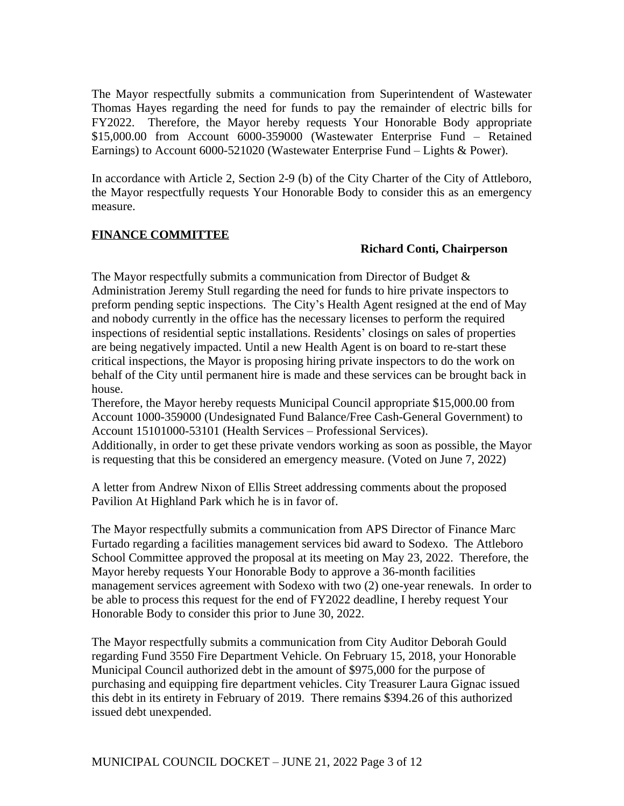The Mayor respectfully submits a communication from Superintendent of Wastewater Thomas Hayes regarding the need for funds to pay the remainder of electric bills for FY2022. Therefore, the Mayor hereby requests Your Honorable Body appropriate \$15,000.00 from Account 6000-359000 (Wastewater Enterprise Fund – Retained Earnings) to Account 6000-521020 (Wastewater Enterprise Fund – Lights & Power).

In accordance with Article 2, Section 2-9 (b) of the City Charter of the City of Attleboro, the Mayor respectfully requests Your Honorable Body to consider this as an emergency measure.

## **FINANCE COMMITTEE**

## **Richard Conti, Chairperson**

The Mayor respectfully submits a communication from Director of Budget & Administration Jeremy Stull regarding the need for funds to hire private inspectors to preform pending septic inspections. The City's Health Agent resigned at the end of May and nobody currently in the office has the necessary licenses to perform the required inspections of residential septic installations. Residents' closings on sales of properties are being negatively impacted. Until a new Health Agent is on board to re-start these critical inspections, the Mayor is proposing hiring private inspectors to do the work on behalf of the City until permanent hire is made and these services can be brought back in house.

Therefore, the Mayor hereby requests Municipal Council appropriate \$15,000.00 from Account 1000-359000 (Undesignated Fund Balance/Free Cash-General Government) to Account 15101000-53101 (Health Services – Professional Services).

Additionally, in order to get these private vendors working as soon as possible, the Mayor is requesting that this be considered an emergency measure. (Voted on June 7, 2022)

A letter from Andrew Nixon of Ellis Street addressing comments about the proposed Pavilion At Highland Park which he is in favor of.

The Mayor respectfully submits a communication from APS Director of Finance Marc Furtado regarding a facilities management services bid award to Sodexo. The Attleboro School Committee approved the proposal at its meeting on May 23, 2022. Therefore, the Mayor hereby requests Your Honorable Body to approve a 36-month facilities management services agreement with Sodexo with two (2) one-year renewals. In order to be able to process this request for the end of FY2022 deadline, I hereby request Your Honorable Body to consider this prior to June 30, 2022.

The Mayor respectfully submits a communication from City Auditor Deborah Gould regarding Fund 3550 Fire Department Vehicle. On February 15, 2018, your Honorable Municipal Council authorized debt in the amount of \$975,000 for the purpose of purchasing and equipping fire department vehicles. City Treasurer Laura Gignac issued this debt in its entirety in February of 2019. There remains \$394.26 of this authorized issued debt unexpended.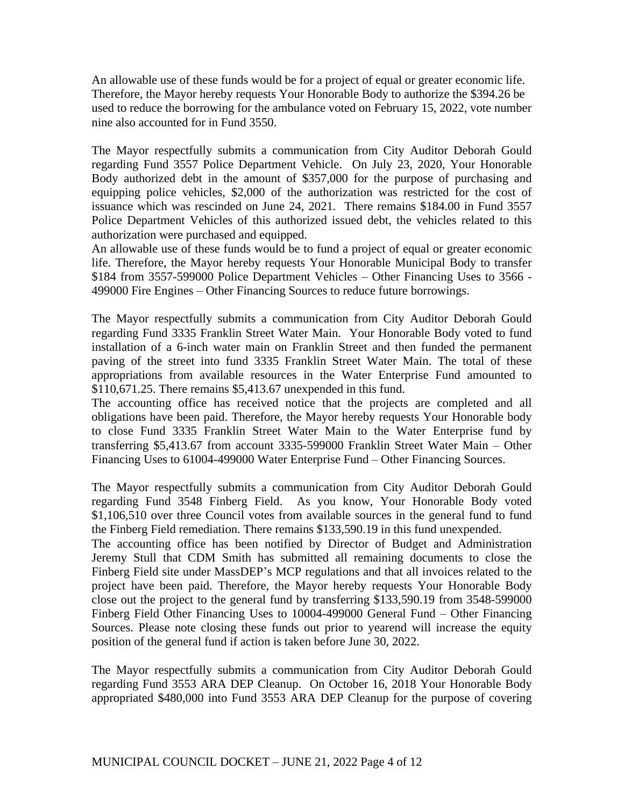An allowable use of these funds would be for a project of equal or greater economic life. Therefore, the Mayor hereby requests Your Honorable Body to authorize the \$394.26 be used to reduce the borrowing for the ambulance voted on February 15, 2022, vote number nine also accounted for in Fund 3550.

The Mayor respectfully submits a communication from City Auditor Deborah Gould regarding Fund 3557 Police Department Vehicle. On July 23, 2020, Your Honorable Body authorized debt in the amount of \$357,000 for the purpose of purchasing and equipping police vehicles, \$2,000 of the authorization was restricted for the cost of issuance which was rescinded on June 24, 2021. There remains \$184.00 in Fund 3557 Police Department Vehicles of this authorized issued debt, the vehicles related to this authorization were purchased and equipped.

An allowable use of these funds would be to fund a project of equal or greater economic life. Therefore, the Mayor hereby requests Your Honorable Municipal Body to transfer \$184 from 3557-599000 Police Department Vehicles – Other Financing Uses to 3566 - 499000 Fire Engines – Other Financing Sources to reduce future borrowings.

The Mayor respectfully submits a communication from City Auditor Deborah Gould regarding Fund 3335 Franklin Street Water Main. Your Honorable Body voted to fund installation of a 6-inch water main on Franklin Street and then funded the permanent paving of the street into fund 3335 Franklin Street Water Main. The total of these appropriations from available resources in the Water Enterprise Fund amounted to \$110,671.25. There remains \$5,413.67 unexpended in this fund.

The accounting office has received notice that the projects are completed and all obligations have been paid. Therefore, the Mayor hereby requests Your Honorable body to close Fund 3335 Franklin Street Water Main to the Water Enterprise fund by transferring \$5,413.67 from account 3335-599000 Franklin Street Water Main – Other Financing Uses to 61004-499000 Water Enterprise Fund – Other Financing Sources.

The Mayor respectfully submits a communication from City Auditor Deborah Gould regarding Fund 3548 Finberg Field. As you know, Your Honorable Body voted \$1,106,510 over three Council votes from available sources in the general fund to fund the Finberg Field remediation. There remains \$133,590.19 in this fund unexpended.

The accounting office has been notified by Director of Budget and Administration Jeremy Stull that CDM Smith has submitted all remaining documents to close the Finberg Field site under MassDEP's MCP regulations and that all invoices related to the project have been paid. Therefore, the Mayor hereby requests Your Honorable Body close out the project to the general fund by transferring \$133,590.19 from 3548-599000 Finberg Field Other Financing Uses to 10004-499000 General Fund – Other Financing Sources. Please note closing these funds out prior to yearend will increase the equity position of the general fund if action is taken before June 30, 2022.

The Mayor respectfully submits a communication from City Auditor Deborah Gould regarding Fund 3553 ARA DEP Cleanup. On October 16, 2018 Your Honorable Body appropriated \$480,000 into Fund 3553 ARA DEP Cleanup for the purpose of covering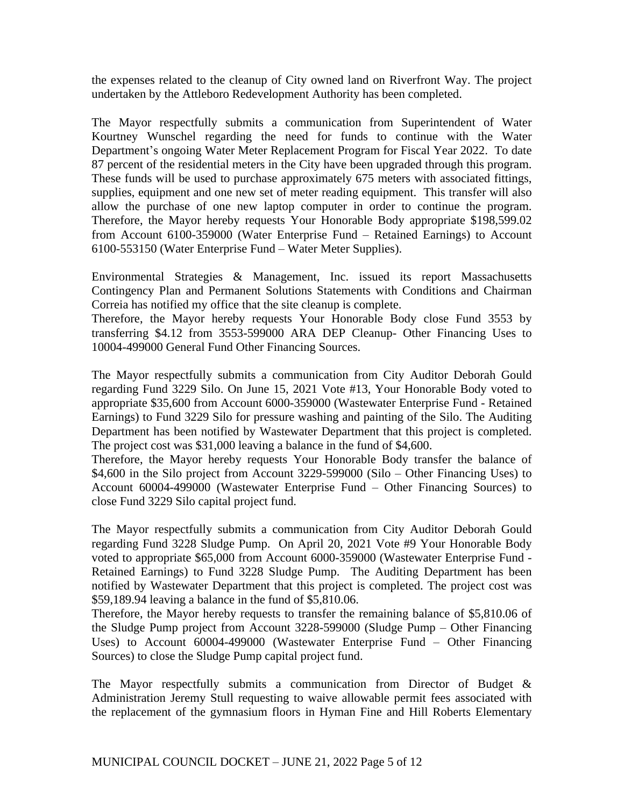the expenses related to the cleanup of City owned land on Riverfront Way. The project undertaken by the Attleboro Redevelopment Authority has been completed.

The Mayor respectfully submits a communication from Superintendent of Water Kourtney Wunschel regarding the need for funds to continue with the Water Department's ongoing Water Meter Replacement Program for Fiscal Year 2022. To date 87 percent of the residential meters in the City have been upgraded through this program. These funds will be used to purchase approximately 675 meters with associated fittings, supplies, equipment and one new set of meter reading equipment. This transfer will also allow the purchase of one new laptop computer in order to continue the program. Therefore, the Mayor hereby requests Your Honorable Body appropriate \$198,599.02 from Account 6100-359000 (Water Enterprise Fund – Retained Earnings) to Account 6100-553150 (Water Enterprise Fund – Water Meter Supplies).

Environmental Strategies & Management, Inc. issued its report Massachusetts Contingency Plan and Permanent Solutions Statements with Conditions and Chairman Correia has notified my office that the site cleanup is complete.

Therefore, the Mayor hereby requests Your Honorable Body close Fund 3553 by transferring \$4.12 from 3553-599000 ARA DEP Cleanup- Other Financing Uses to 10004-499000 General Fund Other Financing Sources.

The Mayor respectfully submits a communication from City Auditor Deborah Gould regarding Fund 3229 Silo. On June 15, 2021 Vote #13, Your Honorable Body voted to appropriate \$35,600 from Account 6000-359000 (Wastewater Enterprise Fund - Retained Earnings) to Fund 3229 Silo for pressure washing and painting of the Silo. The Auditing Department has been notified by Wastewater Department that this project is completed. The project cost was \$31,000 leaving a balance in the fund of \$4,600.

Therefore, the Mayor hereby requests Your Honorable Body transfer the balance of \$4,600 in the Silo project from Account 3229-599000 (Silo – Other Financing Uses) to Account 60004-499000 (Wastewater Enterprise Fund – Other Financing Sources) to close Fund 3229 Silo capital project fund.

The Mayor respectfully submits a communication from City Auditor Deborah Gould regarding Fund 3228 Sludge Pump. On April 20, 2021 Vote #9 Your Honorable Body voted to appropriate \$65,000 from Account 6000-359000 (Wastewater Enterprise Fund - Retained Earnings) to Fund 3228 Sludge Pump. The Auditing Department has been notified by Wastewater Department that this project is completed. The project cost was \$59,189.94 leaving a balance in the fund of \$5,810.06.

Therefore, the Mayor hereby requests to transfer the remaining balance of \$5,810.06 of the Sludge Pump project from Account 3228-599000 (Sludge Pump – Other Financing Uses) to Account 60004-499000 (Wastewater Enterprise Fund – Other Financing Sources) to close the Sludge Pump capital project fund.

The Mayor respectfully submits a communication from Director of Budget & Administration Jeremy Stull requesting to waive allowable permit fees associated with the replacement of the gymnasium floors in Hyman Fine and Hill Roberts Elementary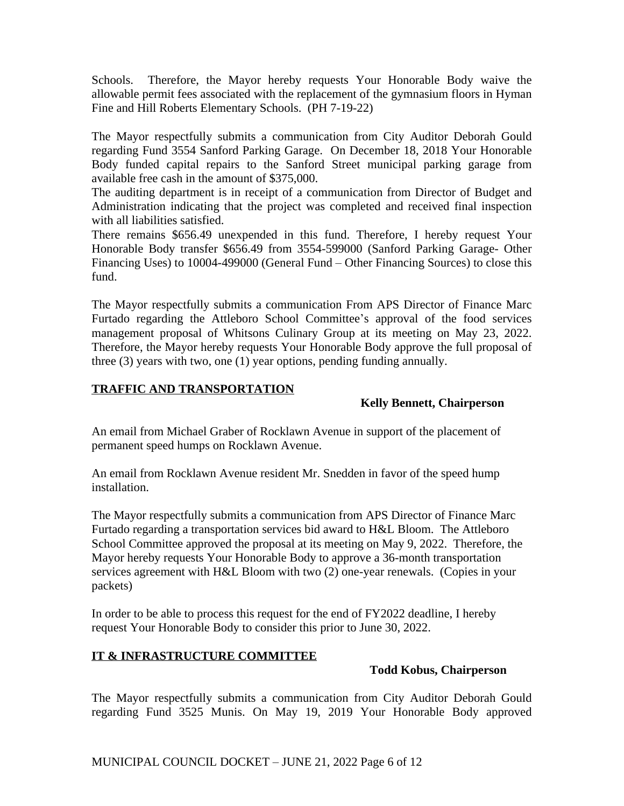Schools. Therefore, the Mayor hereby requests Your Honorable Body waive the allowable permit fees associated with the replacement of the gymnasium floors in Hyman Fine and Hill Roberts Elementary Schools. (PH 7-19-22)

The Mayor respectfully submits a communication from City Auditor Deborah Gould regarding Fund 3554 Sanford Parking Garage. On December 18, 2018 Your Honorable Body funded capital repairs to the Sanford Street municipal parking garage from available free cash in the amount of \$375,000.

The auditing department is in receipt of a communication from Director of Budget and Administration indicating that the project was completed and received final inspection with all liabilities satisfied.

There remains \$656.49 unexpended in this fund. Therefore, I hereby request Your Honorable Body transfer \$656.49 from 3554-599000 (Sanford Parking Garage- Other Financing Uses) to 10004-499000 (General Fund – Other Financing Sources) to close this fund.

The Mayor respectfully submits a communication From APS Director of Finance Marc Furtado regarding the Attleboro School Committee's approval of the food services management proposal of Whitsons Culinary Group at its meeting on May 23, 2022. Therefore, the Mayor hereby requests Your Honorable Body approve the full proposal of three (3) years with two, one (1) year options, pending funding annually.

# **TRAFFIC AND TRANSPORTATION**

# **Kelly Bennett, Chairperson**

An email from Michael Graber of Rocklawn Avenue in support of the placement of permanent speed humps on Rocklawn Avenue.

An email from Rocklawn Avenue resident Mr. Snedden in favor of the speed hump installation.

The Mayor respectfully submits a communication from APS Director of Finance Marc Furtado regarding a transportation services bid award to H&L Bloom. The Attleboro School Committee approved the proposal at its meeting on May 9, 2022. Therefore, the Mayor hereby requests Your Honorable Body to approve a 36-month transportation services agreement with H&L Bloom with two (2) one-year renewals. (Copies in your packets)

In order to be able to process this request for the end of FY2022 deadline, I hereby request Your Honorable Body to consider this prior to June 30, 2022.

# **IT & INFRASTRUCTURE COMMITTEE**

## **Todd Kobus, Chairperson**

The Mayor respectfully submits a communication from City Auditor Deborah Gould regarding Fund 3525 Munis. On May 19, 2019 Your Honorable Body approved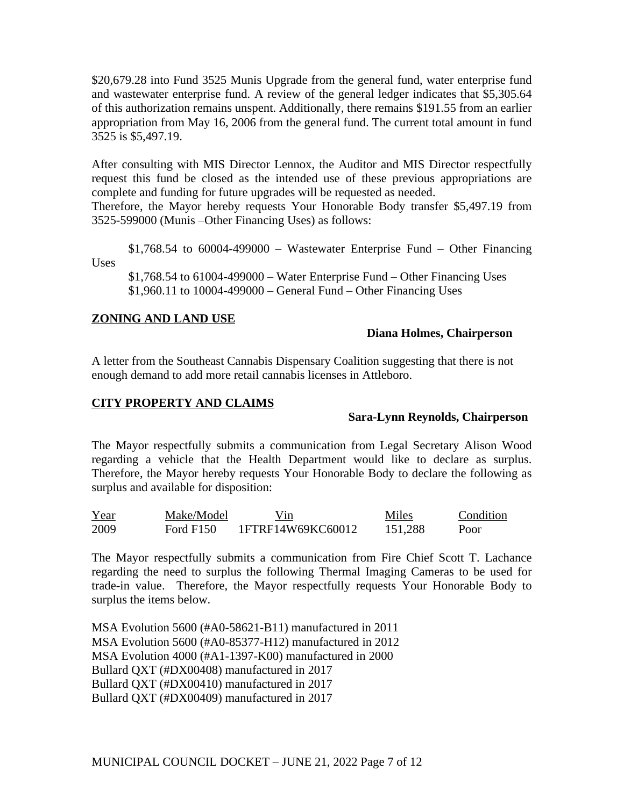\$20,679.28 into Fund 3525 Munis Upgrade from the general fund, water enterprise fund and wastewater enterprise fund. A review of the general ledger indicates that \$5,305.64 of this authorization remains unspent. Additionally, there remains \$191.55 from an earlier appropriation from May 16, 2006 from the general fund. The current total amount in fund 3525 is \$5,497.19.

After consulting with MIS Director Lennox, the Auditor and MIS Director respectfully request this fund be closed as the intended use of these previous appropriations are complete and funding for future upgrades will be requested as needed.

Therefore, the Mayor hereby requests Your Honorable Body transfer \$5,497.19 from 3525-599000 (Munis –Other Financing Uses) as follows:

 $$1,768.54$  to 60004-499000 – Wastewater Enterprise Fund – Other Financing Uses

\$1,768.54 to 61004-499000 – Water Enterprise Fund – Other Financing Uses \$1,960.11 to 10004-499000 – General Fund – Other Financing Uses

## **ZONING AND LAND USE**

## **Diana Holmes, Chairperson**

A letter from the Southeast Cannabis Dispensary Coalition suggesting that there is not enough demand to add more retail cannabis licenses in Attleboro.

## **CITY PROPERTY AND CLAIMS**

## **Sara-Lynn Reynolds, Chairperson**

The Mayor respectfully submits a communication from Legal Secretary Alison Wood regarding a vehicle that the Health Department would like to declare as surplus. Therefore, the Mayor hereby requests Your Honorable Body to declare the following as surplus and available for disposition:

| Year | Make/Model | Vin               | Miles   | Condition |
|------|------------|-------------------|---------|-----------|
| 2009 | Ford F150  | 1FTRF14W69KC60012 | 151,288 | Poor      |

The Mayor respectfully submits a communication from Fire Chief Scott T. Lachance regarding the need to surplus the following Thermal Imaging Cameras to be used for trade-in value. Therefore, the Mayor respectfully requests Your Honorable Body to surplus the items below.

MSA Evolution 5600 (#A0-58621-B11) manufactured in 2011 MSA Evolution 5600 (#A0-85377-H12) manufactured in 2012 MSA Evolution 4000 (#A1-1397-K00) manufactured in 2000 Bullard QXT (#DX00408) manufactured in 2017 Bullard QXT (#DX00410) manufactured in 2017 Bullard QXT (#DX00409) manufactured in 2017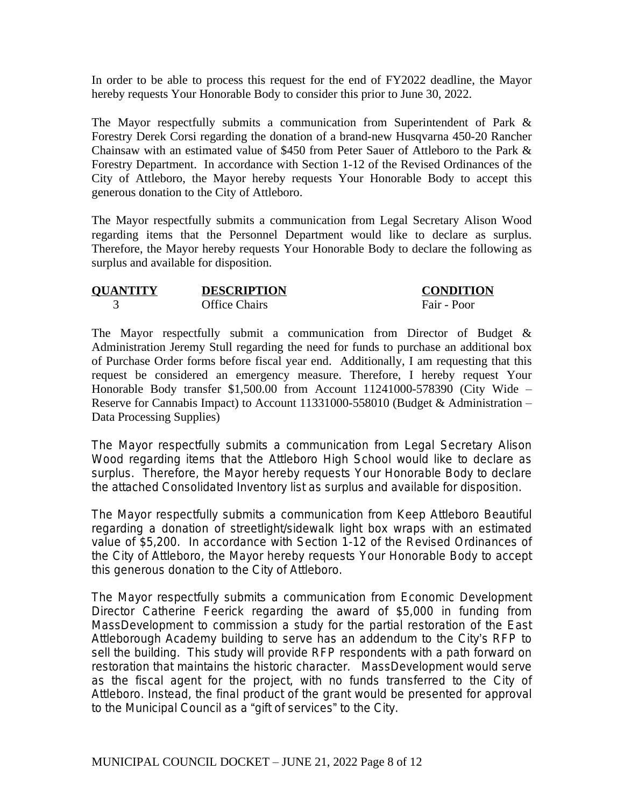In order to be able to process this request for the end of FY2022 deadline, the Mayor hereby requests Your Honorable Body to consider this prior to June 30, 2022.

The Mayor respectfully submits a communication from Superintendent of Park & Forestry Derek Corsi regarding the donation of a brand-new Husqvarna 450-20 Rancher Chainsaw with an estimated value of \$450 from Peter Sauer of Attleboro to the Park & Forestry Department. In accordance with Section 1-12 of the Revised Ordinances of the City of Attleboro, the Mayor hereby requests Your Honorable Body to accept this generous donation to the City of Attleboro.

The Mayor respectfully submits a communication from Legal Secretary Alison Wood regarding items that the Personnel Department would like to declare as surplus. Therefore, the Mayor hereby requests Your Honorable Body to declare the following as surplus and available for disposition.

| <b>QUANTITY</b> | <b>DESCRIPTION</b>   | <b>CONDITION</b> |
|-----------------|----------------------|------------------|
|                 | <b>Office Chairs</b> | Fair - Poor      |

The Mayor respectfully submit a communication from Director of Budget & Administration Jeremy Stull regarding the need for funds to purchase an additional box of Purchase Order forms before fiscal year end. Additionally, I am requesting that this request be considered an emergency measure. Therefore, I hereby request Your Honorable Body transfer \$1,500.00 from Account 11241000-578390 (City Wide – Reserve for Cannabis Impact) to Account 11331000-558010 (Budget & Administration – Data Processing Supplies)

The Mayor respectfully submits a communication from Legal Secretary Alison Wood regarding items that the Attleboro High School would like to declare as surplus. Therefore, the Mayor hereby requests Your Honorable Body to declare the attached *Consolidated Inventory* list as surplus and available for disposition.

The Mayor respectfully submits a communication from Keep Attleboro Beautiful regarding a donation of streetlight/sidewalk light box wraps with an estimated value of \$5,200. In accordance with Section 1-12 of the Revised Ordinances of the City of Attleboro, the Mayor hereby requests Your Honorable Body to accept this generous donation to the City of Attleboro.

The Mayor respectfully submits a communication from Economic Development Director Catherine Feerick regarding the award of \$5,000 in funding from MassDevelopment to commission a study for the partial restoration of the East Attleborough Academy building to serve has an addendum to the City's RFP to sell the building. This study will provide RFP respondents with a path forward on restoration that maintains the historic character. MassDevelopment would serve as the fiscal agent for the project, with no funds transferred to the City of Attleboro. Instead, the final product of the grant would be presented for approval to the Municipal Council as a "gift of services" to the City.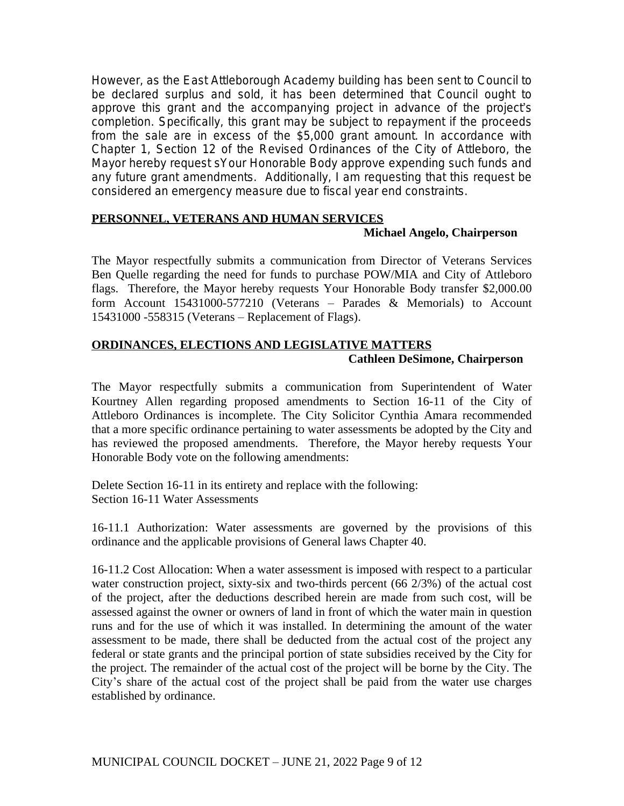However, as the East Attleborough Academy building has been sent to Council to be declared surplus and sold, it has been determined that Council ought to approve this grant and the accompanying project in advance of the project's completion. Specifically, this grant may be subject to repayment if the proceeds from the sale are in excess of the \$5,000 grant amount. In accordance with Chapter 1, Section 12 of the Revised Ordinances of the City of Attleboro, the Mayor hereby request sYour Honorable Body approve expending such funds and any future grant amendments. Additionally, I am requesting that this request be considered an emergency measure due to fiscal year end constraints.

# **PERSONNEL, VETERANS AND HUMAN SERVICES**

## **Michael Angelo, Chairperson**

The Mayor respectfully submits a communication from Director of Veterans Services Ben Quelle regarding the need for funds to purchase POW/MIA and City of Attleboro flags. Therefore, the Mayor hereby requests Your Honorable Body transfer \$2,000.00 form Account 15431000-577210 (Veterans – Parades & Memorials) to Account 15431000 -558315 (Veterans – Replacement of Flags).

# **ORDINANCES, ELECTIONS AND LEGISLATIVE MATTERS Cathleen DeSimone, Chairperson**

The Mayor respectfully submits a communication from Superintendent of Water Kourtney Allen regarding proposed amendments to Section 16-11 of the City of Attleboro Ordinances is incomplete. The City Solicitor Cynthia Amara recommended that a more specific ordinance pertaining to water assessments be adopted by the City and has reviewed the proposed amendments. Therefore, the Mayor hereby requests Your Honorable Body vote on the following amendments:

Delete Section 16-11 in its entirety and replace with the following: Section 16-11 Water Assessments

16-11.1 Authorization: Water assessments are governed by the provisions of this ordinance and the applicable provisions of General laws Chapter 40.

16-11.2 Cost Allocation: When a water assessment is imposed with respect to a particular water construction project, sixty-six and two-thirds percent (66 2/3%) of the actual cost of the project, after the deductions described herein are made from such cost, will be assessed against the owner or owners of land in front of which the water main in question runs and for the use of which it was installed. In determining the amount of the water assessment to be made, there shall be deducted from the actual cost of the project any federal or state grants and the principal portion of state subsidies received by the City for the project. The remainder of the actual cost of the project will be borne by the City. The City's share of the actual cost of the project shall be paid from the water use charges established by ordinance.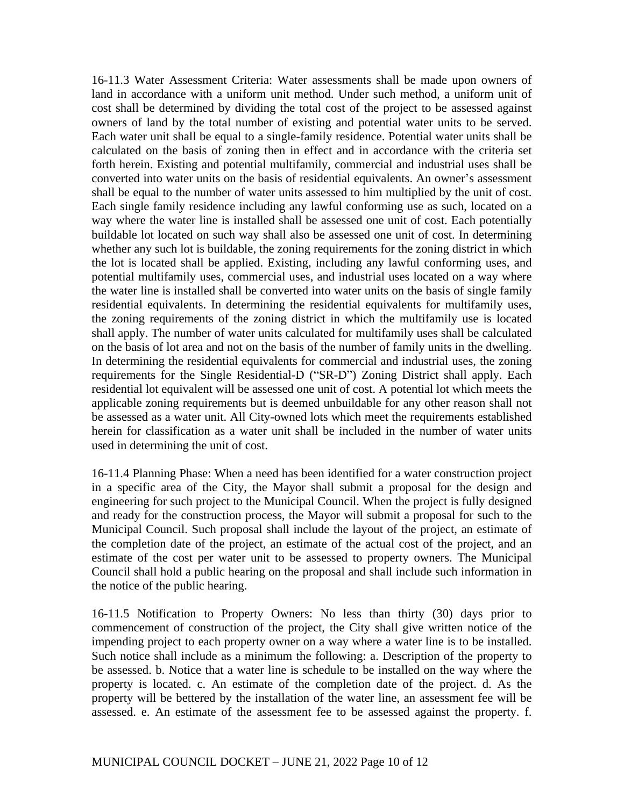16-11.3 Water Assessment Criteria: Water assessments shall be made upon owners of land in accordance with a uniform unit method. Under such method, a uniform unit of cost shall be determined by dividing the total cost of the project to be assessed against owners of land by the total number of existing and potential water units to be served. Each water unit shall be equal to a single-family residence. Potential water units shall be calculated on the basis of zoning then in effect and in accordance with the criteria set forth herein. Existing and potential multifamily, commercial and industrial uses shall be converted into water units on the basis of residential equivalents. An owner's assessment shall be equal to the number of water units assessed to him multiplied by the unit of cost. Each single family residence including any lawful conforming use as such, located on a way where the water line is installed shall be assessed one unit of cost. Each potentially buildable lot located on such way shall also be assessed one unit of cost. In determining whether any such lot is buildable, the zoning requirements for the zoning district in which the lot is located shall be applied. Existing, including any lawful conforming uses, and potential multifamily uses, commercial uses, and industrial uses located on a way where the water line is installed shall be converted into water units on the basis of single family residential equivalents. In determining the residential equivalents for multifamily uses, the zoning requirements of the zoning district in which the multifamily use is located shall apply. The number of water units calculated for multifamily uses shall be calculated on the basis of lot area and not on the basis of the number of family units in the dwelling. In determining the residential equivalents for commercial and industrial uses, the zoning requirements for the Single Residential-D ("SR-D") Zoning District shall apply. Each residential lot equivalent will be assessed one unit of cost. A potential lot which meets the applicable zoning requirements but is deemed unbuildable for any other reason shall not be assessed as a water unit. All City-owned lots which meet the requirements established herein for classification as a water unit shall be included in the number of water units used in determining the unit of cost.

16-11.4 Planning Phase: When a need has been identified for a water construction project in a specific area of the City, the Mayor shall submit a proposal for the design and engineering for such project to the Municipal Council. When the project is fully designed and ready for the construction process, the Mayor will submit a proposal for such to the Municipal Council. Such proposal shall include the layout of the project, an estimate of the completion date of the project, an estimate of the actual cost of the project, and an estimate of the cost per water unit to be assessed to property owners. The Municipal Council shall hold a public hearing on the proposal and shall include such information in the notice of the public hearing.

16-11.5 Notification to Property Owners: No less than thirty (30) days prior to commencement of construction of the project, the City shall give written notice of the impending project to each property owner on a way where a water line is to be installed. Such notice shall include as a minimum the following: a. Description of the property to be assessed. b. Notice that a water line is schedule to be installed on the way where the property is located. c. An estimate of the completion date of the project. d. As the property will be bettered by the installation of the water line, an assessment fee will be assessed. e. An estimate of the assessment fee to be assessed against the property. f.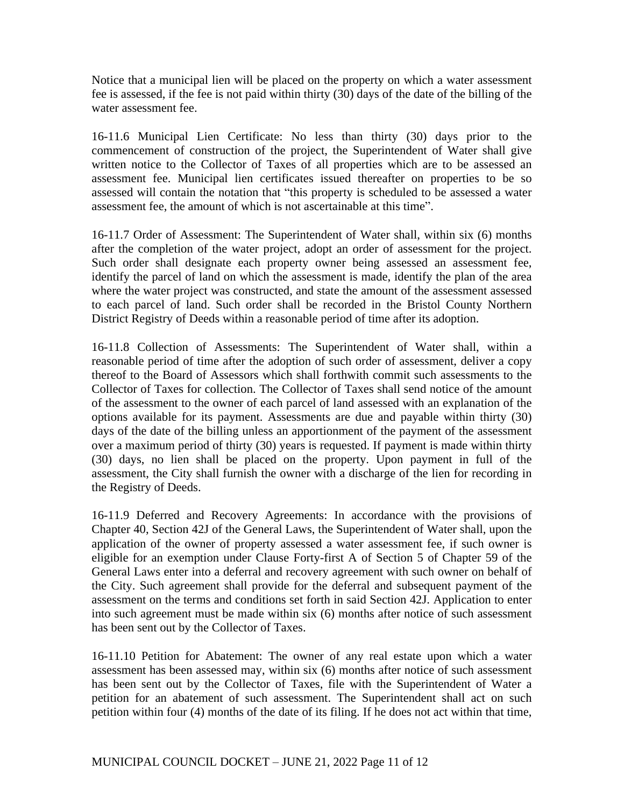Notice that a municipal lien will be placed on the property on which a water assessment fee is assessed, if the fee is not paid within thirty (30) days of the date of the billing of the water assessment fee.

16-11.6 Municipal Lien Certificate: No less than thirty (30) days prior to the commencement of construction of the project, the Superintendent of Water shall give written notice to the Collector of Taxes of all properties which are to be assessed an assessment fee. Municipal lien certificates issued thereafter on properties to be so assessed will contain the notation that "this property is scheduled to be assessed a water assessment fee, the amount of which is not ascertainable at this time".

16-11.7 Order of Assessment: The Superintendent of Water shall, within six (6) months after the completion of the water project, adopt an order of assessment for the project. Such order shall designate each property owner being assessed an assessment fee, identify the parcel of land on which the assessment is made, identify the plan of the area where the water project was constructed, and state the amount of the assessment assessed to each parcel of land. Such order shall be recorded in the Bristol County Northern District Registry of Deeds within a reasonable period of time after its adoption.

16-11.8 Collection of Assessments: The Superintendent of Water shall, within a reasonable period of time after the adoption of such order of assessment, deliver a copy thereof to the Board of Assessors which shall forthwith commit such assessments to the Collector of Taxes for collection. The Collector of Taxes shall send notice of the amount of the assessment to the owner of each parcel of land assessed with an explanation of the options available for its payment. Assessments are due and payable within thirty (30) days of the date of the billing unless an apportionment of the payment of the assessment over a maximum period of thirty (30) years is requested. If payment is made within thirty (30) days, no lien shall be placed on the property. Upon payment in full of the assessment, the City shall furnish the owner with a discharge of the lien for recording in the Registry of Deeds.

16-11.9 Deferred and Recovery Agreements: In accordance with the provisions of Chapter 40, Section 42J of the General Laws, the Superintendent of Water shall, upon the application of the owner of property assessed a water assessment fee, if such owner is eligible for an exemption under Clause Forty-first A of Section 5 of Chapter 59 of the General Laws enter into a deferral and recovery agreement with such owner on behalf of the City. Such agreement shall provide for the deferral and subsequent payment of the assessment on the terms and conditions set forth in said Section 42J. Application to enter into such agreement must be made within six (6) months after notice of such assessment has been sent out by the Collector of Taxes.

16-11.10 Petition for Abatement: The owner of any real estate upon which a water assessment has been assessed may, within six (6) months after notice of such assessment has been sent out by the Collector of Taxes, file with the Superintendent of Water a petition for an abatement of such assessment. The Superintendent shall act on such petition within four (4) months of the date of its filing. If he does not act within that time,